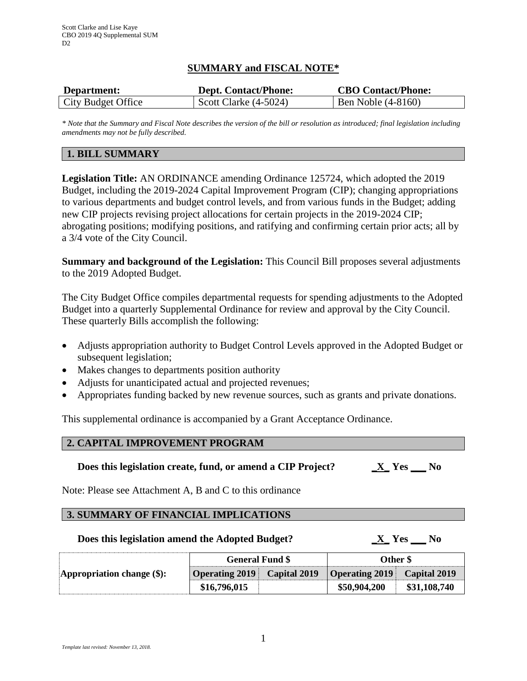## **SUMMARY and FISCAL NOTE\***

| Department:        | <b>Dept. Contact/Phone:</b> | <b>CBO Contact/Phone:</b> |
|--------------------|-----------------------------|---------------------------|
| City Budget Office | Scott Clarke $(4-5024)$     | Ben Noble (4-8160)        |

*\* Note that the Summary and Fiscal Note describes the version of the bill or resolution as introduced; final legislation including amendments may not be fully described.*

## **1. BILL SUMMARY**

**Legislation Title:** AN ORDINANCE amending Ordinance 125724, which adopted the 2019 Budget, including the 2019-2024 Capital Improvement Program (CIP); changing appropriations to various departments and budget control levels, and from various funds in the Budget; adding new CIP projects revising project allocations for certain projects in the 2019-2024 CIP; abrogating positions; modifying positions, and ratifying and confirming certain prior acts; all by a 3/4 vote of the City Council.

**Summary and background of the Legislation:** This Council Bill proposes several adjustments to the 2019 Adopted Budget.

The City Budget Office compiles departmental requests for spending adjustments to the Adopted Budget into a quarterly Supplemental Ordinance for review and approval by the City Council. These quarterly Bills accomplish the following:

- Adjusts appropriation authority to Budget Control Levels approved in the Adopted Budget or subsequent legislation;
- Makes changes to departments position authority
- Adjusts for unanticipated actual and projected revenues;
- Appropriates funding backed by new revenue sources, such as grants and private donations.

This supplemental ordinance is accompanied by a Grant Acceptance Ordinance.

### **2. CAPITAL IMPROVEMENT PROGRAM**

#### **Does this legislation create, fund, or amend a CIP Project? \_X\_ Yes \_\_\_ No**

Note: Please see Attachment A, B and C to this ordinance

#### **3. SUMMARY OF FINANCIAL IMPLICATIONS**

### **Does this legislation amend the Adopted Budget? \_X\_ Yes \_\_\_ No**

| Appropriation change (\$): | <b>General Fund \$</b>             |  | Other \$                           |              |
|----------------------------|------------------------------------|--|------------------------------------|--------------|
|                            | <b>Operating 2019</b> Capital 2019 |  | <b>Operating 2019</b> Capital 2019 |              |
|                            | \$16,796,015                       |  | \$50,904,200                       | \$31,108,740 |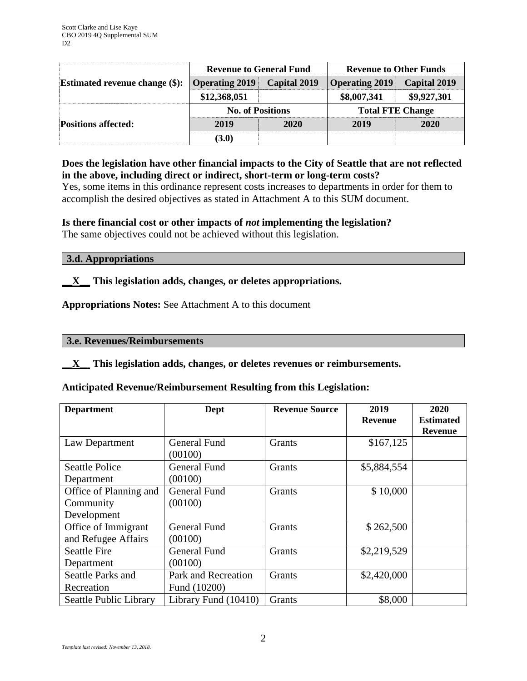| <b>Estimated revenue change (\$):</b> | <b>Revenue to General Fund</b> |                     | <b>Revenue to Other Funds</b> |                     |  |
|---------------------------------------|--------------------------------|---------------------|-------------------------------|---------------------|--|
|                                       | <b>Operating 2019</b>          | <b>Capital 2019</b> | <b>Operating 2019</b>         | <b>Capital 2019</b> |  |
|                                       | \$12,368,051                   |                     | \$8,007,341                   | \$9,927,301         |  |
| <b>Positions affected:</b>            | <b>No. of Positions</b>        |                     | <b>Total FTE Change</b>       |                     |  |
|                                       | 2019                           | 2020                | 2019                          | 2020                |  |
|                                       | (3.0)                          |                     |                               |                     |  |

# **Does the legislation have other financial impacts to the City of Seattle that are not reflected in the above, including direct or indirect, short-term or long-term costs?**

Yes, some items in this ordinance represent costs increases to departments in order for them to accomplish the desired objectives as stated in Attachment A to this SUM document.

# **Is there financial cost or other impacts of** *not* **implementing the legislation?**

The same objectives could not be achieved without this legislation.

### **3.d. Appropriations**

# **\_\_X\_\_ This legislation adds, changes, or deletes appropriations.**

**Appropriations Notes:** See Attachment A to this document

#### **3.e. Revenues/Reimbursements**

### **\_\_X\_\_ This legislation adds, changes, or deletes revenues or reimbursements.**

### **Anticipated Revenue/Reimbursement Resulting from this Legislation:**

| <b>Department</b>                                  | Dept                                | <b>Revenue Source</b> | 2019           | 2020             |
|----------------------------------------------------|-------------------------------------|-----------------------|----------------|------------------|
|                                                    |                                     |                       | <b>Revenue</b> | <b>Estimated</b> |
| Law Department                                     | General Fund<br>(00100)             | <b>Grants</b>         | \$167,125      | <b>Revenue</b>   |
| <b>Seattle Police</b><br>Department                | <b>General Fund</b><br>(00100)      | Grants                | \$5,884,554    |                  |
| Office of Planning and<br>Community<br>Development | <b>General Fund</b><br>(00100)      | Grants                | \$10,000       |                  |
| Office of Immigrant<br>and Refugee Affairs         | <b>General Fund</b><br>(00100)      | Grants                | \$262,500      |                  |
| <b>Seattle Fire</b><br>Department                  | <b>General Fund</b><br>(00100)      | Grants                | \$2,219,529    |                  |
| Seattle Parks and<br>Recreation                    | Park and Recreation<br>Fund (10200) | <b>Grants</b>         | \$2,420,000    |                  |
| Seattle Public Library                             | Library Fund $(10410)$              | Grants                | \$8,000        |                  |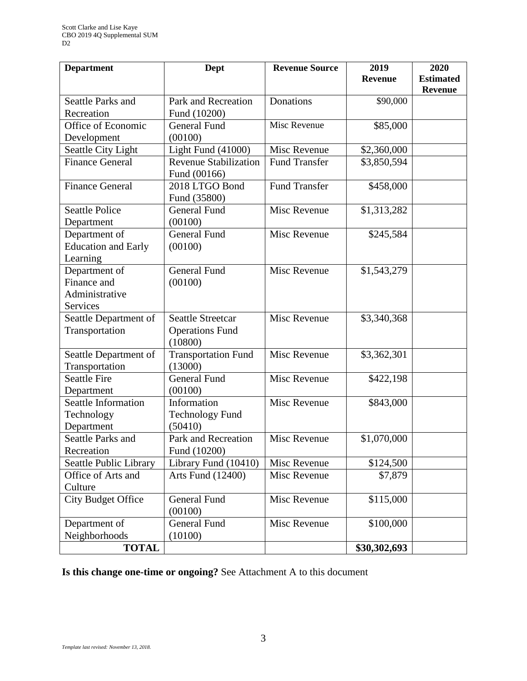| <b>Department</b>                       | Dept                                  | <b>Revenue Source</b> | 2019           | 2020                               |
|-----------------------------------------|---------------------------------------|-----------------------|----------------|------------------------------------|
|                                         |                                       |                       | <b>Revenue</b> | <b>Estimated</b><br><b>Revenue</b> |
| <b>Seattle Parks and</b>                | Park and Recreation                   | Donations             | \$90,000       |                                    |
| Recreation                              | Fund (10200)                          |                       |                |                                    |
| Office of Economic                      | <b>General Fund</b>                   | Misc Revenue          | \$85,000       |                                    |
| Development                             | (00100)                               |                       |                |                                    |
| Seattle City Light                      | Light Fund $(41000)$                  | Misc Revenue          | \$2,360,000    |                                    |
| <b>Finance General</b>                  | <b>Revenue Stabilization</b>          | <b>Fund Transfer</b>  | \$3,850,594    |                                    |
|                                         | Fund (00166)                          |                       |                |                                    |
| <b>Finance General</b>                  | 2018 LTGO Bond                        | <b>Fund Transfer</b>  | \$458,000      |                                    |
|                                         | Fund (35800)                          |                       |                |                                    |
| <b>Seattle Police</b>                   | <b>General Fund</b>                   | Misc Revenue          | \$1,313,282    |                                    |
| Department                              | (00100)                               |                       |                |                                    |
| Department of                           | <b>General Fund</b>                   | Misc Revenue          | \$245,584      |                                    |
| <b>Education and Early</b>              | (00100)                               |                       |                |                                    |
| Learning                                |                                       |                       |                |                                    |
| Department of                           | <b>General Fund</b>                   | Misc Revenue          | \$1,543,279    |                                    |
| Finance and                             | (00100)                               |                       |                |                                    |
| Administrative                          |                                       |                       |                |                                    |
| <b>Services</b>                         |                                       |                       |                |                                    |
| Seattle Department of                   | <b>Seattle Streetcar</b>              | Misc Revenue          | \$3,340,368    |                                    |
| Transportation                          | <b>Operations Fund</b>                |                       |                |                                    |
|                                         | (10800)                               | Misc Revenue          |                |                                    |
| Seattle Department of<br>Transportation | <b>Transportation Fund</b><br>(13000) |                       | \$3,362,301    |                                    |
| <b>Seattle Fire</b>                     | <b>General Fund</b>                   | Misc Revenue          | \$422,198      |                                    |
| Department                              | (00100)                               |                       |                |                                    |
| Seattle Information                     | Information                           | Misc Revenue          | \$843,000      |                                    |
| Technology                              | Technology Fund                       |                       |                |                                    |
| Department                              | (50410)                               |                       |                |                                    |
| Seattle Parks and                       | Park and Recreation                   | Misc Revenue          | \$1,070,000    |                                    |
| Recreation                              | Fund (10200)                          |                       |                |                                    |
| Seattle Public Library                  | Library Fund (10410)                  | Misc Revenue          | \$124,500      |                                    |
| Office of Arts and                      | Arts Fund (12400)                     | Misc Revenue          | \$7,879        |                                    |
| Culture                                 |                                       |                       |                |                                    |
| <b>City Budget Office</b>               | <b>General Fund</b>                   | Misc Revenue          | \$115,000      |                                    |
|                                         | (00100)                               |                       |                |                                    |
| Department of                           | <b>General Fund</b>                   | Misc Revenue          | \$100,000      |                                    |
| Neighborhoods                           | (10100)                               |                       |                |                                    |
| <b>TOTAL</b>                            |                                       |                       | \$30,302,693   |                                    |

**Is this change one-time or ongoing?** See Attachment A to this document